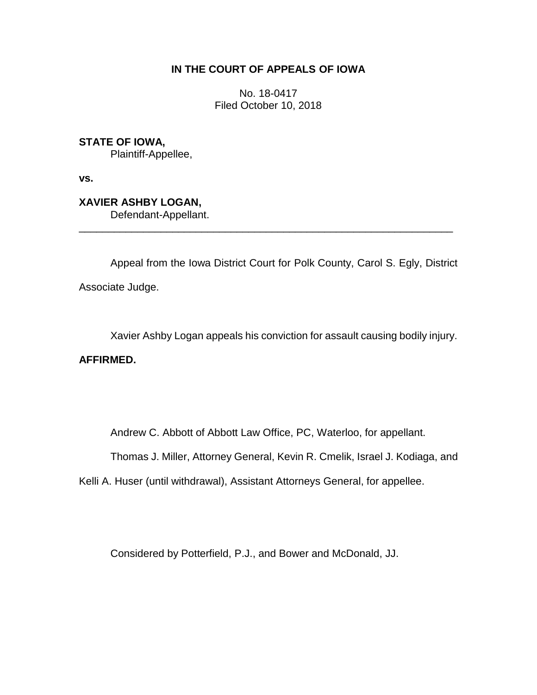## **IN THE COURT OF APPEALS OF IOWA**

No. 18-0417 Filed October 10, 2018

**STATE OF IOWA,** Plaintiff-Appellee,

**vs.**

**XAVIER ASHBY LOGAN,** Defendant-Appellant.

Appeal from the Iowa District Court for Polk County, Carol S. Egly, District Associate Judge.

\_\_\_\_\_\_\_\_\_\_\_\_\_\_\_\_\_\_\_\_\_\_\_\_\_\_\_\_\_\_\_\_\_\_\_\_\_\_\_\_\_\_\_\_\_\_\_\_\_\_\_\_\_\_\_\_\_\_\_\_\_\_\_\_

Xavier Ashby Logan appeals his conviction for assault causing bodily injury.

**AFFIRMED.**

Andrew C. Abbott of Abbott Law Office, PC, Waterloo, for appellant.

Thomas J. Miller, Attorney General, Kevin R. Cmelik, Israel J. Kodiaga, and

Kelli A. Huser (until withdrawal), Assistant Attorneys General, for appellee.

Considered by Potterfield, P.J., and Bower and McDonald, JJ.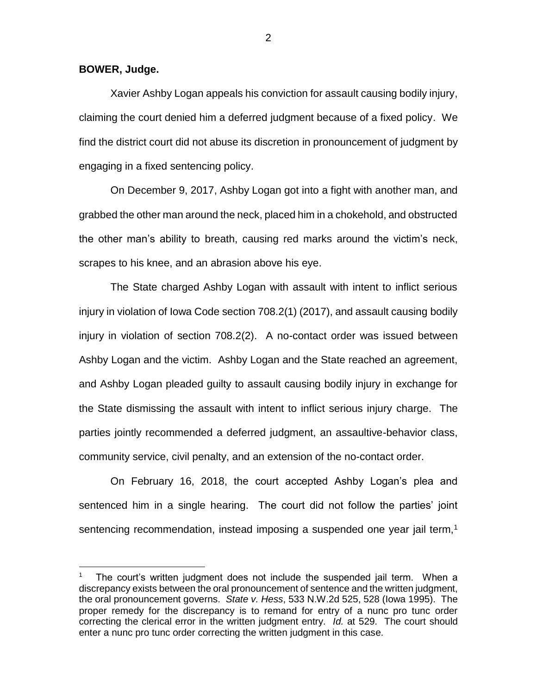**BOWER, Judge.**

 $\overline{a}$ 

Xavier Ashby Logan appeals his conviction for assault causing bodily injury, claiming the court denied him a deferred judgment because of a fixed policy. We find the district court did not abuse its discretion in pronouncement of judgment by engaging in a fixed sentencing policy.

On December 9, 2017, Ashby Logan got into a fight with another man, and grabbed the other man around the neck, placed him in a chokehold, and obstructed the other man's ability to breath, causing red marks around the victim's neck, scrapes to his knee, and an abrasion above his eye.

The State charged Ashby Logan with assault with intent to inflict serious injury in violation of Iowa Code section 708.2(1) (2017), and assault causing bodily injury in violation of section 708.2(2). A no-contact order was issued between Ashby Logan and the victim. Ashby Logan and the State reached an agreement, and Ashby Logan pleaded guilty to assault causing bodily injury in exchange for the State dismissing the assault with intent to inflict serious injury charge. The parties jointly recommended a deferred judgment, an assaultive-behavior class, community service, civil penalty, and an extension of the no-contact order.

On February 16, 2018, the court accepted Ashby Logan's plea and sentenced him in a single hearing. The court did not follow the parties' joint sentencing recommendation, instead imposing a suspended one year jail term, $<sup>1</sup>$ </sup>

<sup>1</sup> The court's written judgment does not include the suspended jail term. When a discrepancy exists between the oral pronouncement of sentence and the written judgment, the oral pronouncement governs. *State v. Hess*, 533 N.W.2d 525, 528 (Iowa 1995). The proper remedy for the discrepancy is to remand for entry of a nunc pro tunc order correcting the clerical error in the written judgment entry. *Id.* at 529. The court should enter a nunc pro tunc order correcting the written judgment in this case.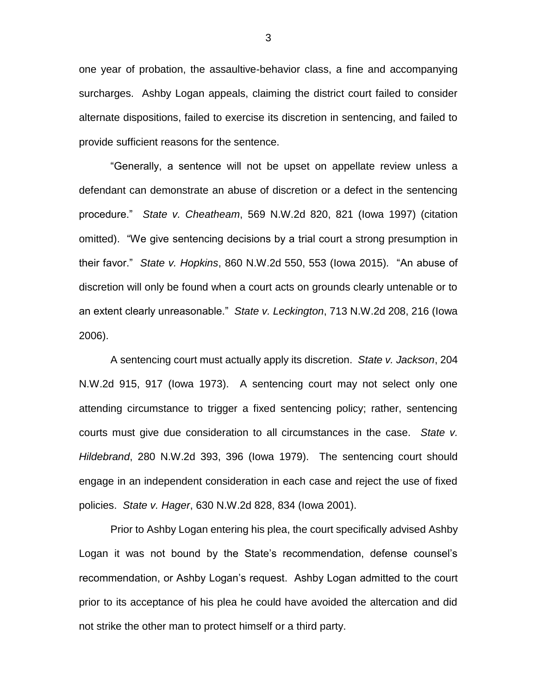one year of probation, the assaultive-behavior class, a fine and accompanying surcharges. Ashby Logan appeals, claiming the district court failed to consider alternate dispositions, failed to exercise its discretion in sentencing, and failed to provide sufficient reasons for the sentence.

"Generally, a sentence will not be upset on appellate review unless a defendant can demonstrate an abuse of discretion or a defect in the sentencing procedure." *State v. Cheatheam*, 569 N.W.2d 820, 821 (Iowa 1997) (citation omitted). "We give sentencing decisions by a trial court a strong presumption in their favor." *State v. Hopkins*, 860 N.W.2d 550, 553 (Iowa 2015)*.* "An abuse of discretion will only be found when a court acts on grounds clearly untenable or to an extent clearly unreasonable." *State v. Leckington*, 713 N.W.2d 208, 216 (Iowa 2006).

A sentencing court must actually apply its discretion. *State v. Jackson*, 204 N.W.2d 915, 917 (Iowa 1973). A sentencing court may not select only one attending circumstance to trigger a fixed sentencing policy; rather, sentencing courts must give due consideration to all circumstances in the case. *State v. Hildebrand*, 280 N.W.2d 393, 396 (Iowa 1979). The sentencing court should engage in an independent consideration in each case and reject the use of fixed policies. *State v. Hager*, 630 N.W.2d 828, 834 (Iowa 2001).

Prior to Ashby Logan entering his plea, the court specifically advised Ashby Logan it was not bound by the State's recommendation, defense counsel's recommendation, or Ashby Logan's request. Ashby Logan admitted to the court prior to its acceptance of his plea he could have avoided the altercation and did not strike the other man to protect himself or a third party.